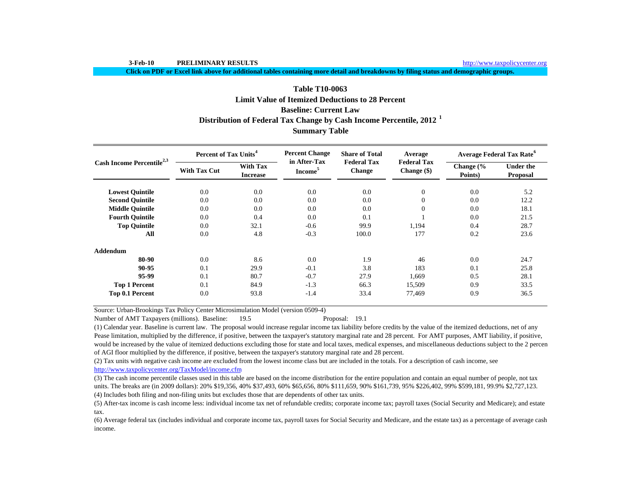**Click on PDF or Excel link above for additional tables containing more detail and breakdowns by filing status and demographic groups.**

# **Summary Table Baseline: Current LawDistribution of Federal Tax Change by Cash Income Percentile, 2012 <sup>1</sup> Table T10-0063Limit Value of Itemized Deductions to 28 Percent**

| Cash Income Percentile <sup>2,3</sup> | <b>Percent of Tax Units<sup>4</sup></b> |                                    | <b>Percent Change</b>               | <b>Share of Total</b>               | Average                           | <b>Average Federal Tax Rate<sup>6</sup></b> |                                     |  |
|---------------------------------------|-----------------------------------------|------------------------------------|-------------------------------------|-------------------------------------|-----------------------------------|---------------------------------------------|-------------------------------------|--|
|                                       | <b>With Tax Cut</b>                     | <b>With Tax</b><br><b>Increase</b> | in After-Tax<br>Income <sup>5</sup> | <b>Federal Tax</b><br><b>Change</b> | <b>Federal Tax</b><br>Change (\$) | Change $\frac{6}{6}$<br>Points)             | <b>Under the</b><br><b>Proposal</b> |  |
| <b>Lowest Quintile</b>                | 0.0                                     | 0.0                                | 0.0                                 | 0.0                                 | $\overline{0}$                    | 0.0                                         | 5.2                                 |  |
| <b>Second Quintile</b>                | 0.0                                     | 0.0                                | 0.0                                 | 0.0                                 | $\Omega$                          | 0.0                                         | 12.2                                |  |
| <b>Middle Quintile</b>                | 0.0                                     | 0.0                                | 0.0                                 | 0.0                                 | $\Omega$                          | 0.0                                         | 18.1                                |  |
| <b>Fourth Quintile</b>                | 0.0                                     | 0.4                                | 0.0                                 | 0.1                                 |                                   | 0.0                                         | 21.5                                |  |
| <b>Top Quintile</b>                   | 0.0                                     | 32.1                               | $-0.6$                              | 99.9                                | 1,194                             | 0.4                                         | 28.7                                |  |
| All                                   | 0.0                                     | 4.8                                | $-0.3$                              | 100.0                               | 177                               | 0.2                                         | 23.6                                |  |
| <b>Addendum</b>                       |                                         |                                    |                                     |                                     |                                   |                                             |                                     |  |
| 80-90                                 | 0.0                                     | 8.6                                | 0.0                                 | 1.9                                 | 46                                | 0.0                                         | 24.7                                |  |
| 90-95                                 | 0.1                                     | 29.9                               | $-0.1$                              | 3.8                                 | 183                               | 0.1                                         | 25.8                                |  |
| 95-99                                 | 0.1                                     | 80.7                               | $-0.7$                              | 27.9                                | 1.669                             | 0.5                                         | 28.1                                |  |
| <b>Top 1 Percent</b>                  | 0.1                                     | 84.9                               | $-1.3$                              | 66.3                                | 15,509                            | 0.9                                         | 33.5                                |  |
| Top 0.1 Percent                       | 0.0                                     | 93.8                               | $-1.4$                              | 33.4                                | 77,469                            | 0.9                                         | 36.5                                |  |

Source: Urban-Brookings Tax Policy Center Microsimulation Model (version 0509-4)

Number of AMT Taxpayers (millions). Baseline: 19.5 Proposal: 19.1

(1) Calendar year. Baseline is current law. The proposal would increase regular income tax liability before credits by the value of the itemized deductions, net of any Pease limitation, multiplied by the difference, if positive, between the taxpayer's statutory marginal rate and 28 percent. For AMT purposes, AMT liability, if positive, would be increased by the value of itemized deductions excluding those for state and local taxes, medical expenses, and miscellaneous deductions subject to the 2 percen of AGI floor multiplied by the difference, if positive, between the taxpayer's statutory marginal rate and 28 percent.

(2) Tax units with negative cash income are excluded from the lowest income class but are included in the totals. For a description of cash income, see http://www.taxpolicycenter.org/TaxModel/income.cfm

(4) Includes both filing and non-filing units but excludes those that are dependents of other tax units. (3) The cash income percentile classes used in this table are based on the income distribution for the entire population and contain an equal number of people, not tax units. The breaks are (in 2009 dollars): 20% \$19,356, 40% \$37,493, 60% \$65,656, 80% \$111,659, 90% \$161,739, 95% \$226,402, 99% \$599,181, 99.9% \$2,727,123.

(5) After-tax income is cash income less: individual income tax net of refundable credits; corporate income tax; payroll taxes (Social Security and Medicare); and estate tax.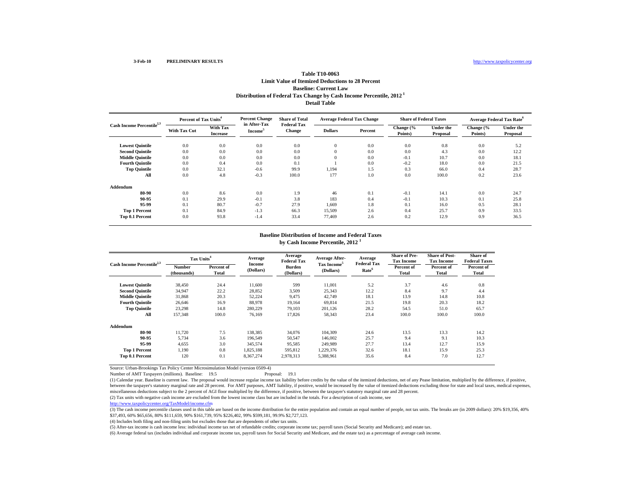# **Table T10-0063Limit Value of Itemized Deductions to 28 PercentBaseline: Current Law Distribution of Federal Tax Change by Cash Income Percentile, 2012 1 Detail Table**

| Cash Income Percentile <sup>2,3</sup> | Percent of Tax Units <sup>4</sup> |                             | <b>Percent Change</b><br>in After-Tax | <b>Share of Total</b>               | <b>Average Federal Tax Change</b> |         | <b>Share of Federal Taxes</b> |                              | <b>Average Federal Tax Rate</b> <sup>6</sup> |                              |
|---------------------------------------|-----------------------------------|-----------------------------|---------------------------------------|-------------------------------------|-----------------------------------|---------|-------------------------------|------------------------------|----------------------------------------------|------------------------------|
|                                       | <b>With Tax Cut</b>               | With Tax<br><b>Increase</b> | <b>Income</b>                         | <b>Federal Tax</b><br><b>Change</b> | <b>Dollars</b>                    | Percent | Change (%<br>Points)          | <b>Under the</b><br>Proposal | Change (%<br>Points)                         | <b>Under the</b><br>Proposal |
| <b>Lowest Quintile</b>                | 0.0                               | 0.0                         | 0.0                                   | 0.0                                 | $\theta$                          | 0.0     | 0.0                           | 0.8                          | 0.0                                          | 5.2                          |
| <b>Second Quintile</b>                | 0.0                               | 0.0                         | 0.0                                   | 0.0                                 | $\theta$                          | 0.0     | 0.0                           | 4.3                          | 0.0                                          | 12.2                         |
| <b>Middle Quintile</b>                | 0.0                               | 0.0                         | 0.0                                   | 0.0                                 | $\theta$                          | 0.0     | $-0.1$                        | 10.7                         | 0.0                                          | 18.1                         |
| <b>Fourth Quintile</b>                | 0.0                               | 0.4                         | 0.0                                   | 0.1                                 |                                   | 0.0     | $-0.2$                        | 18.0                         | 0.0                                          | 21.5                         |
| <b>Top Quintile</b>                   | 0.0                               | 32.1                        | $-0.6$                                | 99.9                                | 1,194                             | 1.5     | 0.3                           | 66.0                         | 0.4                                          | 28.7                         |
| All                                   | 0.0                               | 4.8                         | $-0.3$                                | 100.0                               | 177                               | 1.0     | 0.0                           | 100.0                        | 0.2                                          | 23.6                         |
| Addendum                              |                                   |                             |                                       |                                     |                                   |         |                               |                              |                                              |                              |
| 80-90                                 | 0.0                               | 8.6                         | 0.0                                   | 1.9                                 | 46                                | 0.1     | $-0.1$                        | 14.1                         | 0.0                                          | 24.7                         |
| 90-95                                 | 0.1                               | 29.9                        | $-0.1$                                | 3.8                                 | 183                               | 0.4     | $-0.1$                        | 10.3                         | 0.1                                          | 25.8                         |
| 95-99                                 | 0.1                               | 80.7                        | $-0.7$                                | 27.9                                | 1,669                             | 1.8     | 0.1                           | 16.0                         | 0.5                                          | 28.1                         |
| <b>Top 1 Percent</b>                  | 0.1                               | 84.9                        | $-1.3$                                | 66.3                                | 15,509                            | 2.6     | 0.4                           | 25.7                         | 0.9                                          | 33.5                         |
| Top 0.1 Percent                       | 0.0                               | 93.8                        | $-1.4$                                | 33.4                                | 77,469                            | 2.6     | 0.2                           | 12.9                         | 0.9                                          | 36.5                         |

#### **Baseline Distribution of Income and Federal Taxes**

**by Cash Income Percentile, 2012 <sup>1</sup>**

| Cash Income Percentile <sup>2,3</sup> | Tax Units <sup>4</sup> |                     | Average             | Average<br><b>Federal Tax</b> | Average After-                       | Average                                 | <b>Share of Pre-</b><br><b>Tax Income</b> | <b>Share of Post-</b><br><b>Tax Income</b> | Share of<br><b>Federal Taxes</b> |
|---------------------------------------|------------------------|---------------------|---------------------|-------------------------------|--------------------------------------|-----------------------------------------|-------------------------------------------|--------------------------------------------|----------------------------------|
|                                       | Number<br>(thousands)  | Percent of<br>Total | Income<br>(Dollars) | Burden<br>(Dollars)           | Tax Income <sup>5</sup><br>(Dollars) | <b>Federal Tax</b><br>Rate <sup>6</sup> | Percent of<br>Total                       | Percent of<br>Total                        | Percent of<br>Total              |
| <b>Lowest Quintile</b>                | 38,450                 | 24.4                | 11,600              | 599                           | 11,001                               | 5.2                                     | 3.7                                       | 4.6                                        | 0.8                              |
| <b>Second Quintile</b>                | 34,947                 | 22.2                | 28,852              | 3,509                         | 25,343                               | 12.2                                    | 8.4                                       | 9.7                                        | 4.4                              |
| <b>Middle Ouintile</b>                | 31,868                 | 20.3                | 52,224              | 9.475                         | 42,749                               | 18.1                                    | 13.9                                      | 14.8                                       | 10.8                             |
| <b>Fourth Ouintile</b>                | 26,646                 | 16.9                | 88,978              | 19,164                        | 69,814                               | 21.5                                    | 19.8                                      | 20.3                                       | 18.2                             |
| <b>Top Quintile</b>                   | 23,298                 | 14.8                | 280,229             | 79,103                        | 201.126                              | 28.2                                    | 54.5                                      | 51.0                                       | 65.7                             |
| All                                   | 157,348                | 100.0               | 76,169              | 17,826                        | 58,343                               | 23.4                                    | 100.0                                     | 100.0                                      | 100.0                            |
| Addendum                              |                        |                     |                     |                               |                                      |                                         |                                           |                                            |                                  |
| 80-90                                 | 11.720                 | 7.5                 | 138,385             | 34,076                        | 104.309                              | 24.6                                    | 13.5                                      | 13.3                                       | 14.2                             |
| 90-95                                 | 5,734                  | 3.6                 | 196,549             | 50,547                        | 146,002                              | 25.7                                    | 9.4                                       | 9.1                                        | 10.3                             |
| 95-99                                 | 4,655                  | 3.0                 | 345,574             | 95,585                        | 249.989                              | 27.7                                    | 13.4                                      | 12.7                                       | 15.9                             |
| <b>Top 1 Percent</b>                  | 1,190                  | 0.8                 | 1,825,188           | 595,812                       | 1,229,376                            | 32.6                                    | 18.1                                      | 15.9                                       | 25.3                             |
| Top 0.1 Percent                       | 120                    | 0.1                 | 8,367,274           | 2,978,313                     | 5,388,961                            | 35.6                                    | 8.4                                       | 7.0                                        | 12.7                             |

Source: Urban-Brookings Tax Policy Center Microsimulation Model (version 0509-4) Number of AMT Taxpayers (millions). Baseline: 19.5

(1) Calendar year. Baseline is current law. The proposal would increase regular income tax liability before credits by the value of the itemized deductions, net of any Pease limitation, multiplied by the difference, if pos between the taxpayer's statutory marginal rate and 28 percent. For AMT purposes, AMT liability, if positive, would be increased by the value of itemized deductions excluding those for state and local taxes, medical expense miscellaneous deductions subject to the 2 percent of AGI floor multiplied by the difference, if positive, between the taxpayer's statutory marginal rate and 28 percent.

(2) Tax units with negative cash income are excluded from the lowest income class but are included in the totals. For a description of cash income, see

http://www.taxpolicycenter.org/TaxModel/income.cfm

(3) The cash income percentile classes used in this table are based on the income distribution for the entire population and contain an equal number of people, not tax units. The breaks are (in 2009 dollars): 20% \$19,356,4 \$37,493, 60% \$65,656, 80% \$111,659, 90% \$161,739, 95% \$226,402, 99% \$599,181, 99.9% \$2,727,123.

(4) Includes both filing and non-filing units but excludes those that are dependents of other tax units.

(5) After-tax income is cash income less: individual income tax net of refundable credits; corporate income tax; payroll taxes (Social Security and Medicare); and estate tax.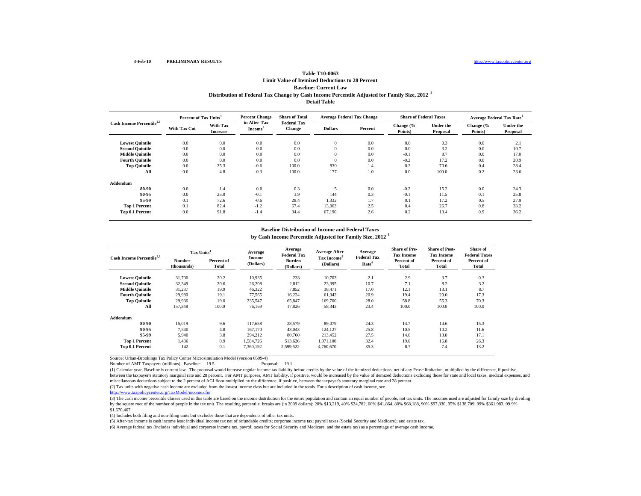## **Table T10-0063Limit Value of Itemized Deductions to 28 Percent Baseline: Current Law Distribution of Federal Tax Change by Cash Income Percentile Adjusted for Family Size, 2012 <sup>1</sup> Detail Table**

| Cash Income Percentile <sup>2,3</sup> | Percent of Tax Units <sup>4</sup> |                                    | <b>Percent Change</b><br>in After-Tax | <b>Share of Total</b>               | <b>Average Federal Tax Change</b> |         | <b>Share of Federal Taxes</b> |                              | Average Federal Tax Rate <sup>6</sup> |                              |
|---------------------------------------|-----------------------------------|------------------------------------|---------------------------------------|-------------------------------------|-----------------------------------|---------|-------------------------------|------------------------------|---------------------------------------|------------------------------|
|                                       | <b>With Tax Cut</b>               | <b>With Tax</b><br><b>Increase</b> | Income <sup>®</sup>                   | <b>Federal Tax</b><br><b>Change</b> | <b>Dollars</b>                    | Percent | Change (%<br>Points)          | <b>Under the</b><br>Proposal | Change (%<br>Points)                  | <b>Under the</b><br>Proposal |
| <b>Lowest Quintile</b>                | 0.0                               | 0.0                                | 0.0                                   | 0.0                                 | $\bf{0}$                          | 0.0     | 0.0                           | 0.3                          | 0.0                                   | 2.1                          |
| <b>Second Quintile</b>                | 0.0                               | 0.0                                | 0.0                                   | 0.0                                 | $\mathbf{0}$                      | 0.0     | 0.0                           | 3.2                          | 0.0                                   | 10.7                         |
| <b>Middle Quintile</b>                | 0.0                               | 0.0                                | 0.0                                   | 0.0                                 | $\theta$                          | 0.0     | $-0.1$                        | 8.7                          | 0.0                                   | 17.0                         |
| <b>Fourth Ouintile</b>                | 0.0                               | 0.0                                | 0.0                                   | 0.0                                 | $\theta$                          | 0.0     | $-0.2$                        | 17.2                         | 0.0                                   | 20.9                         |
| <b>Top Quintile</b>                   | 0.0                               | 25.3                               | $-0.6$                                | 100.0                               | 930                               | 1.4     | 0.3                           | 70.6                         | 0.4                                   | 28.4                         |
| All                                   | 0.0                               | 4.8                                | $-0.3$                                | 100.0                               | 177                               | 1.0     | 0.0                           | 100.0                        | 0.2                                   | 23.6                         |
| Addendum                              |                                   |                                    |                                       |                                     |                                   |         |                               |                              |                                       |                              |
| 80-90                                 | 0.0                               | 1.4                                | 0.0                                   | 0.3                                 |                                   | 0.0     | $-0.2$                        | 15.2                         | 0.0                                   | 24.3                         |
| 90-95                                 | 0.0                               | 25.0                               | $-0.1$                                | 3.9                                 | 144                               | 0.3     | $-0.1$                        | 11.5                         | 0.1                                   | 25.8                         |
| 95-99                                 | 0.1                               | 72.6                               | $-0.6$                                | 28.4                                | 1,332                             | 1.7     | 0.1                           | 17.2                         | 0.5                                   | 27.9                         |
| <b>Top 1 Percent</b>                  | 0.1                               | 82.4                               | $-1.2$                                | 67.4                                | 13,063                            | 2.5     | 0.4                           | 26.7                         | 0.8                                   | 33.2                         |
| Top 0.1 Percent                       | 0.0                               | 91.8                               | $-1.4$                                | 34.4                                | 67,190                            | 2.6     | 0.2                           | 13.4                         | 0.9                                   | 36.2                         |

#### **Baseline Distribution of Income and Federal Taxes**

**by Cash Income Percentile Adjusted for Family Size, 2012 <sup>1</sup>**

| Cash Income Percentile <sup>2,3</sup> | Tax Units <sup>4</sup> |                     | Average             | Average<br><b>Federal Tax</b> | Average After-                       | Average<br><b>Federal Tax</b> | <b>Share of Pre-</b><br><b>Tax Income</b> | <b>Share of Post-</b><br><b>Tax Income</b> | Share of<br><b>Federal Taxes</b> |
|---------------------------------------|------------------------|---------------------|---------------------|-------------------------------|--------------------------------------|-------------------------------|-------------------------------------------|--------------------------------------------|----------------------------------|
|                                       | Number<br>(thousands)  | Percent of<br>Total | Income<br>(Dollars) | <b>Burden</b><br>(Dollars)    | Tax Income <sup>5</sup><br>(Dollars) | Rate <sup>6</sup>             | Percent of<br>Total                       | Percent of<br>Total                        | Percent of<br>Total              |
| <b>Lowest Quintile</b>                | 31,706                 | 20.2                | 10,935              | 233                           | 10,703                               | 2.1                           | 2.9                                       | 3.7                                        | 0.3                              |
| <b>Second Quintile</b>                | 32,349                 | 20.6                | 26,208              | 2,812                         | 23,395                               | 10.7                          | 7.1                                       | 8.2                                        | 3.2                              |
| <b>Middle Quintile</b>                | 31,237                 | 19.9                | 46,322              | 7,852                         | 38.471                               | 17.0                          | 12.1                                      | 13.1                                       | 8.7                              |
| <b>Fourth Ouintile</b>                | 29,980                 | 19.1                | 77.565              | 16,224                        | 61,342                               | 20.9                          | 19.4                                      | 20.0                                       | 17.3                             |
| <b>Top Quintile</b>                   | 29.936                 | 19.0                | 235,547             | 65,847                        | 169,700                              | 28.0                          | 58.8                                      | 55.3                                       | 70.3                             |
| All                                   | 157,348                | 100.0               | 76,169              | 17,826                        | 58,343                               | 23.4                          | 100.0                                     | 100.0                                      | 100.0                            |
| Addendum                              |                        |                     |                     |                               |                                      |                               |                                           |                                            |                                  |
| 80-90                                 | 15.019                 | 9.6                 | 117.658             | 28,579                        | 89,079                               | 24.3                          | 14.7                                      | 14.6                                       | 15.3                             |
| 90-95                                 | 7,540                  | 4.8                 | 167,170             | 43,043                        | 124,127                              | 25.8                          | 10.5                                      | 10.2                                       | 11.6                             |
| 95-99                                 | 5,940                  | 3.8                 | 294,212             | 80,760                        | 213,452                              | 27.5                          | 14.6                                      | 13.8                                       | 17.1                             |
| <b>Top 1 Percent</b>                  | 1,436                  | 0.9                 | 1,584,726           | 513,626                       | 1,071,100                            | 32.4                          | 19.0                                      | 16.8                                       | 26.3                             |
| Top 0.1 Percent                       | 142                    | 0.1                 | 7,360,192           | 2,599,522                     | 4,760,670                            | 35.3                          | 8.7                                       | 7.4                                        | 13.2                             |

Source: Urban-Brookings Tax Policy Center Microsimulation Model (version 0509-4)

Number of AMT Taxpayers (millions). Baseline: 19.5 Proposal: 19.1

(1) Calendar year. Baseline is current law. The proposal would increase regular income tax liability before credits by the value of the itemized deductions, net of any Pease limitation, multiplied by the difference, if pos between the taxpayer's statutory marginal rate and 28 percent. For AMT purposes, AMT liability, if positive, would be increased by the value of itemized deductions excluding those for state and local taxes, medical expense miscellaneous deductions subject to the 2 percent of AGI floor multiplied by the difference, if positive, between the taxpayer's statutory marginal rate and 28 percent.

(2) Tax units with negative cash income are excluded from the lowest income class but are included in the totals. For a description of cash income, see

http://www.taxpolicycenter.org/TaxModel/income.cfm

(3) The cash income percentile classes used in this table are based on the income distribution for the entire population and contain an equal number of people, not tax units. The incomes used are adjusted for family size b by the square root of the number of people in the tax unit. The resulting percentile breaks are (in 2009 dollars): 20% \$13,219, 40% \$24,782, 60% \$41,864, 80% \$68,188, 90% \$97,830, 95% \$138,709, 99% \$361,983, 99.9% \$1,670,467.

(4) Includes both filing and non-filing units but excludes those that are dependents of other tax units.

(5) After-tax income is cash income less: individual income tax net of refundable credits; corporate income tax; payroll taxes (Social Security and Medicare); and estate tax.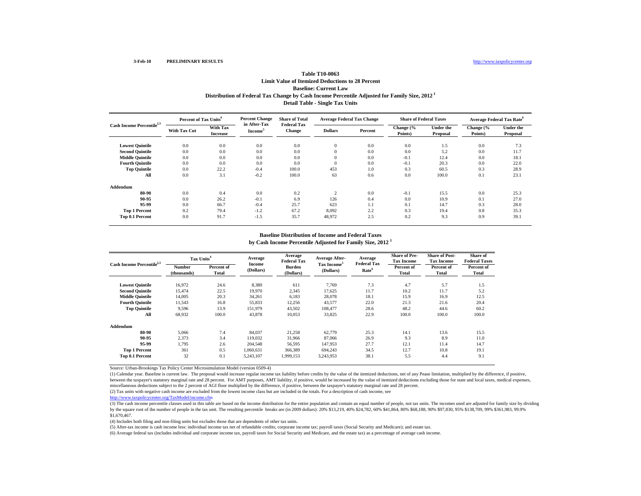# **Table T10-0063Limit Value of Itemized Deductions to 28 PercentBaseline: Current LawDistribution of Federal Tax Change by Cash Income Percentile Adjusted for Family Size, 2012 1 Detail Table - Single Tax Units**

| Cash Income Percentile <sup>2,3</sup> | Percent of Tax Units <sup>4</sup> |                             | <b>Percent Change</b><br>in After-Tax | <b>Share of Total</b>               | <b>Average Federal Tax Change</b> |         | <b>Share of Federal Taxes</b> |                              | <b>Average Federal Tax Rate</b> <sup>6</sup> |                              |
|---------------------------------------|-----------------------------------|-----------------------------|---------------------------------------|-------------------------------------|-----------------------------------|---------|-------------------------------|------------------------------|----------------------------------------------|------------------------------|
|                                       | <b>With Tax Cut</b>               | With Tax<br><b>Increase</b> | Income <sup>3</sup>                   | <b>Federal Tax</b><br><b>Change</b> | <b>Dollars</b>                    | Percent | Change (%<br>Points)          | <b>Under the</b><br>Proposal | Change (%<br>Points)                         | <b>Under the</b><br>Proposal |
| <b>Lowest Quintile</b>                | 0.0                               | 0.0                         | 0.0                                   | 0.0                                 | $\mathbf{0}$                      | 0.0     | 0.0                           | 1.5                          | 0.0                                          | 7.3                          |
| <b>Second Quintile</b>                | 0.0                               | 0.0                         | 0.0                                   | 0.0                                 | $\overline{0}$                    | 0.0     | 0.0                           | 5.2                          | 0.0                                          | 11.7                         |
| <b>Middle Quintile</b>                | 0.0                               | 0.0                         | 0.0                                   | 0.0                                 | $\mathbf{0}$                      | 0.0     | $-0.1$                        | 12.4                         | 0.0                                          | 18.1                         |
| <b>Fourth Quintile</b>                | 0.0                               | 0.0                         | 0.0                                   | 0.0                                 | $\overline{0}$                    | 0.0     | $-0.1$                        | 20.3                         | 0.0                                          | 22.0                         |
| <b>Top Quintile</b>                   | 0.0                               | 22.2                        | $-0.4$                                | 100.0                               | 453                               | 1.0     | 0.3                           | 60.5                         | 0.3                                          | 28.9                         |
| All                                   | 0.0                               | 3.1                         | $-0.2$                                | 100.0                               | 63                                | 0.6     | 0.0                           | 100.0                        | 0.1                                          | 23.1                         |
| Addendum                              |                                   |                             |                                       |                                     |                                   |         |                               |                              |                                              |                              |
| 80-90                                 | 0.0                               | 0.4                         | 0.0                                   | 0.2                                 | $\mathcal{L}$                     | 0.0     | $-0.1$                        | 15.5                         | 0.0                                          | 25.3                         |
| 90-95                                 | 0.0                               | 26.2                        | $-0.1$                                | 6.9                                 | 126                               | 0.4     | 0.0                           | 10.9                         | 0.1                                          | 27.0                         |
| 95-99                                 | 0.0                               | 66.7                        | $-0.4$                                | 25.7                                | 623                               | 1.1     | 0.1                           | 14.7                         | 0.3                                          | 28.0                         |
| <b>Top 1 Percent</b>                  | 0.2                               | 79.4                        | $-1.2$                                | 67.2                                | 8,092                             | 2.2     | 0.3                           | 19.4                         | 0.8                                          | 35.3                         |
| Top 0.1 Percent                       | 0.0                               | 91.7                        | $-1.5$                                | 35.7                                | 48,972                            | 2.5     | 0.2                           | 9.3                          | 0.9                                          | 39.1                         |

## **Baseline Distribution of Income and Federal Taxes**

**by Cash Income Percentile Adjusted for Family Size, 2012 <sup>1</sup>**

| Cash Income Percentile <sup>2,3</sup> |                       | Tax Units <sup>4</sup> |                     | Average<br><b>Federal Tax</b> | Average After-                       | Average                                 | <b>Share of Pre-</b><br><b>Tax Income</b> | <b>Share of Post-</b><br><b>Tax Income</b> | Share of<br><b>Federal Taxes</b> |
|---------------------------------------|-----------------------|------------------------|---------------------|-------------------------------|--------------------------------------|-----------------------------------------|-------------------------------------------|--------------------------------------------|----------------------------------|
|                                       | Number<br>(thousands) | Percent of<br>Total    | Income<br>(Dollars) | <b>Burden</b><br>(Dollars)    | Tax Income <sup>5</sup><br>(Dollars) | <b>Federal Tax</b><br>Rate <sup>6</sup> | Percent of<br>Total                       | Percent of<br>Total                        | Percent of<br>Total              |
| <b>Lowest Quintile</b>                | 16,972                | 24.6                   | 8,380               | 611                           | 7,769                                | 7.3                                     | 4.7                                       | 5.7                                        | 1.5                              |
| <b>Second Quintile</b>                | 15.474                | 22.5                   | 19,970              | 2,345                         | 17,625                               | 11.7                                    | 10.2                                      | 11.7                                       | 5.2                              |
| <b>Middle Quintile</b>                | 14,005                | 20.3                   | 34,261              | 6,183                         | 28,078                               | 18.1                                    | 15.9                                      | 16.9                                       | 12.5                             |
| <b>Fourth Ouintile</b>                | 11,543                | 16.8                   | 55,833              | 12,256                        | 43,577                               | 22.0                                    | 21.3                                      | 21.6                                       | 20.4                             |
| <b>Top Quintile</b>                   | 9,596                 | 13.9                   | 151,979             | 43,502                        | 108,477                              | 28.6                                    | 48.2                                      | 44.6                                       | 60.2                             |
| All                                   | 68,932                | 100.0                  | 43,878              | 10,053                        | 33,825                               | 22.9                                    | 100.0                                     | 100.0                                      | 100.0                            |
| Addendum                              |                       |                        |                     |                               |                                      |                                         |                                           |                                            |                                  |
| 80-90                                 | 5.066                 | 7.4                    | 84,037              | 21,258                        | 62,779                               | 25.3                                    | 14.1                                      | 13.6                                       | 15.5                             |
| 90-95                                 | 2.373                 | 3.4                    | 119,032             | 31,966                        | 87,066                               | 26.9                                    | 9.3                                       | 8.9                                        | 11.0                             |
| 95-99                                 | 1.795                 | 2.6                    | 204,548             | 56,595                        | 147,953                              | 27.7                                    | 12.1                                      | 11.4                                       | 14.7                             |
| <b>Top 1 Percent</b>                  | 361                   | 0.5                    | 1,060,631           | 366,389                       | 694.243                              | 34.5                                    | 12.7                                      | 10.8                                       | 19.1                             |
| Top 0.1 Percent                       | 32                    | 0.1                    | 5,243,107           | 1,999,153                     | 3,243,953                            | 38.1                                    | 5.5                                       | 4.4                                        | 9.1                              |

Source: Urban-Brookings Tax Policy Center Microsimulation Model (version 0509-4)

(1) Calendar year. Baseline is current law. The proposal would increase regular income tax liability before credits by the value of the itemized deductions, net of any Pease limitation, multiplied by the difference, if pos between the taxpayer's statutory marginal rate and 28 percent. For AMT purposes, AMT liability, if positive, would be increased by the value of itemized deductions excluding those for state and local taxes, medical expense miscellaneous deductions subject to the 2 percent of AGI floor multiplied by the difference, if positive, between the taxpayer's statutory marginal rate and 28 percent.

(2) Tax units with negative cash income are excluded from the lowest income class but are included in the totals. For a description of cash income, see

http://www.taxpolicycenter.org/TaxModel/income.cfm

(3) The cash income percentile classes used in this table are based on the income distribution for the entire population and contain an equal number of people, not tax units. The incomes used are adjusted for family size b by the square root of the number of people in the tax unit. The resulting percentile breaks are (in 2009 dollars): 20% \$13,219, 40% \$24,782, 60% \$41,864, 80% \$68,188, 90% \$97,830, 95% \$138,709, 99% \$361,983, 99.9% \$1,670,467.

(4) Includes both filing and non-filing units but excludes those that are dependents of other tax units.

(5) After-tax income is cash income less: individual income tax net of refundable credits; corporate income tax; payroll taxes (Social Security and Medicare); and estate tax.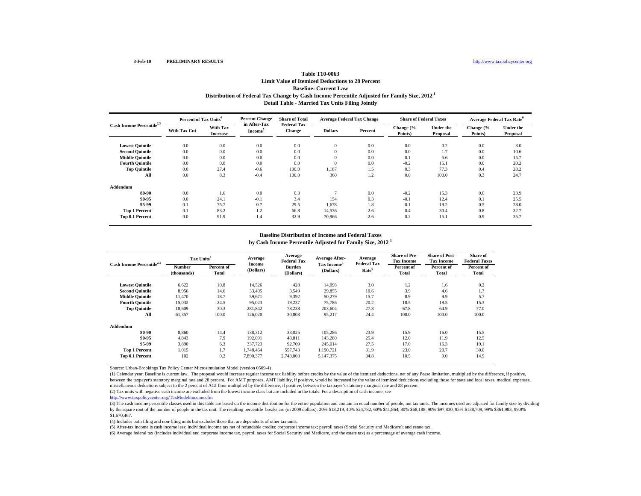# **Table T10-0063Limit Value of Itemized Deductions to 28 PercentBaseline: Current Law Distribution of Federal Tax Change by Cash Income Percentile Adjusted for Family Size, 2012 1 Detail Table - Married Tax Units Filing Jointly**

| Cash Income Percentile <sup>2,3</sup> | Percent of Tax Units <sup>4</sup> |                             | <b>Percent Change</b>               | <b>Share of Total</b>               | <b>Average Federal Tax Change</b> |         | <b>Share of Federal Taxes</b> |                       | <b>Average Federal Tax Rate</b> <sup>o</sup> |                              |
|---------------------------------------|-----------------------------------|-----------------------------|-------------------------------------|-------------------------------------|-----------------------------------|---------|-------------------------------|-----------------------|----------------------------------------------|------------------------------|
|                                       | With Tax Cut                      | With Tax<br><b>Increase</b> | in After-Tax<br>Income <sup>3</sup> | <b>Federal Tax</b><br><b>Change</b> | <b>Dollars</b>                    | Percent | Change (%<br>Points)          | Under the<br>Proposal | Change (%<br>Points)                         | <b>Under the</b><br>Proposal |
| <b>Lowest Quintile</b>                | 0.0                               | 0.0                         | 0.0                                 | 0.0                                 | $\mathbf{0}$                      | 0.0     | 0.0                           | 0.2                   | 0.0                                          | 3.0                          |
| <b>Second Quintile</b>                | 0.0                               | 0.0                         | 0.0                                 | 0.0                                 | $\mathbf{0}$                      | 0.0     | 0.0                           | 1.7                   | 0.0                                          | 10.6                         |
| <b>Middle Quintile</b>                | 0.0                               | 0.0                         | 0.0                                 | 0.0                                 | $\overline{0}$                    | 0.0     | $-0.1$                        | 5.6                   | 0.0                                          | 15.7                         |
| <b>Fourth Quintile</b>                | 0.0                               | 0.0                         | 0.0                                 | 0.0                                 | $\overline{0}$                    | 0.0     | $-0.2$                        | 15.1                  | 0.0                                          | 20.2                         |
| <b>Top Quintile</b>                   | 0.0                               | 27.4                        | $-0.6$                              | 100.0                               | 1,187                             | 1.5     | 0.3                           | 77.3                  | 0.4                                          | 28.2                         |
| All                                   | 0.0                               | 8.3                         | $-0.4$                              | 100.0                               | 360                               | 1.2     | 0.0                           | 100.0                 | 0.3                                          | 24.7                         |
| Addendum                              |                                   |                             |                                     |                                     |                                   |         |                               |                       |                                              |                              |
| 80-90                                 | 0.0                               | 1.6                         | 0.0                                 | 0.3                                 |                                   | 0.0     | $-0.2$                        | 15.3                  | 0.0                                          | 23.9                         |
| 90-95                                 | 0.0                               | 24.1                        | $-0.1$                              | 3.4                                 | 154                               | 0.3     | $-0.1$                        | 12.4                  | 0.1                                          | 25.5                         |
| 95-99                                 | 0.1                               | 75.7                        | $-0.7$                              | 29.5                                | 1,678                             | 1.8     | 0.1                           | 19.2                  | 0.5                                          | 28.0                         |
| <b>Top 1 Percent</b>                  | 0.1                               | 83.2                        | $-1.2$                              | 66.8                                | 14,536                            | 2.6     | 0.4                           | 30.4                  | 0.8                                          | 32.7                         |
| Top 0.1 Percent                       | 0.0                               | 91.9                        | $-1.4$                              | 32.9                                | 70,966                            | 2.6     | 0.2                           | 15.1                  | 0.9                                          | 35.7                         |

## **Baseline Distribution of Income and Federal Taxes**

**by Cash Income Percentile Adjusted for Family Size, 2012 <sup>1</sup>**

| Cash Income Percentile <sup>2,3</sup> | Tax Units <sup>4</sup>       |                     | Average             | Average<br><b>Federal Tax</b> | Average After-                       | Average                                 | <b>Share of Pre-</b><br><b>Tax Income</b> | <b>Share of Post-</b><br><b>Tax Income</b> | Share of<br><b>Federal Taxes</b> |
|---------------------------------------|------------------------------|---------------------|---------------------|-------------------------------|--------------------------------------|-----------------------------------------|-------------------------------------------|--------------------------------------------|----------------------------------|
|                                       | <b>Number</b><br>(thousands) | Percent of<br>Total | Income<br>(Dollars) | Burden<br>(Dollars)           | Tax Income <sup>5</sup><br>(Dollars) | <b>Federal Tax</b><br>Rate <sup>6</sup> | Percent of<br>Total                       | Percent of<br>Total                        | Percent of<br>Total              |
| <b>Lowest Quintile</b>                | 6,622                        | 10.8                | 14,526              | 428                           | 14,098                               | 3.0                                     | 1.2                                       | 1.6                                        | 0.2                              |
| <b>Second Quintile</b>                | 8,956                        | 14.6                | 33,405              | 3,549                         | 29,855                               | 10.6                                    | 3.9                                       | 4.6                                        | 1.7                              |
| <b>Middle Quintile</b>                | 11.470                       | 18.7                | 59,671              | 9,392                         | 50,279                               | 15.7                                    | 8.9                                       | 9.9                                        | 5.7                              |
| <b>Fourth Ouintile</b>                | 15,032                       | 24.5                | 95,023              | 19,237                        | 75,786                               | 20.2                                    | 18.5                                      | 19.5                                       | 15.3                             |
| <b>Top Quintile</b>                   | 18.609                       | 30.3                | 281,842             | 78,238                        | 203.604                              | 27.8                                    | 67.8                                      | 64.9                                       | 77.0                             |
| All                                   | 61,357                       | 100.0               | 126,020             | 30,803                        | 95,217                               | 24.4                                    | 100.0                                     | 100.0                                      | 100.0                            |
| Addendum                              |                              |                     |                     |                               |                                      |                                         |                                           |                                            |                                  |
| 80-90                                 | 8.860                        | 14.4                | 138,312             | 33,025                        | 105.286                              | 23.9                                    | 15.9                                      | 16.0                                       | 15.5                             |
| 90-95                                 | 4.843                        | 7.9                 | 192.091             | 48.811                        | 143.280                              | 25.4                                    | 12.0                                      | 11.9                                       | 12.5                             |
| 95-99                                 | 3.890                        | 6.3                 | 337,723             | 92,709                        | 245.014                              | 27.5                                    | 17.0                                      | 16.3                                       | 19.1                             |
| <b>Top 1 Percent</b>                  | 1,015                        | 1.7                 | 1,748,464           | 557,743                       | 1,190,721                            | 31.9                                    | 23.0                                      | 20.7                                       | 30.0                             |
| Top 0.1 Percent                       | 102                          | 0.2                 | 7,890,377           | 2,743,003                     | 5,147,375                            | 34.8                                    | 10.5                                      | 9.0                                        | 14.9                             |

Source: Urban-Brookings Tax Policy Center Microsimulation Model (version 0509-4)

(1) Calendar year. Baseline is current law. The proposal would increase regular income tax liability before credits by the value of the itemized deductions, net of any Pease limitation, multiplied by the difference, if pos between the taxpayer's statutory marginal rate and 28 percent. For AMT purposes, AMT liability, if positive, would be increased by the value of itemized deductions excluding those for state and local taxes, medical expense miscellaneous deductions subject to the 2 percent of AGI floor multiplied by the difference, if positive, between the taxpayer's statutory marginal rate and 28 percent.

(2) Tax units with negative cash income are excluded from the lowest income class but are included in the totals. For a description of cash income, see

http://www.taxpolicycenter.org/TaxModel/income.cfm

(3) The cash income percentile classes used in this table are based on the income distribution for the entire population and contain an equal number of people, not tax units. The incomes used are adjusted for family size b by the square root of the number of people in the tax unit. The resulting percentile breaks are (in 2009 dollars): 20% \$13,219, 40% \$24,782, 60% \$41,864, 80% \$68,188, 90% \$97,830, 95% \$138,709, 99% \$361,983, 99.9% \$1,670,467.

(4) Includes both filing and non-filing units but excludes those that are dependents of other tax units.

(5) After-tax income is cash income less: individual income tax net of refundable credits; corporate income tax; payroll taxes (Social Security and Medicare); and estate tax.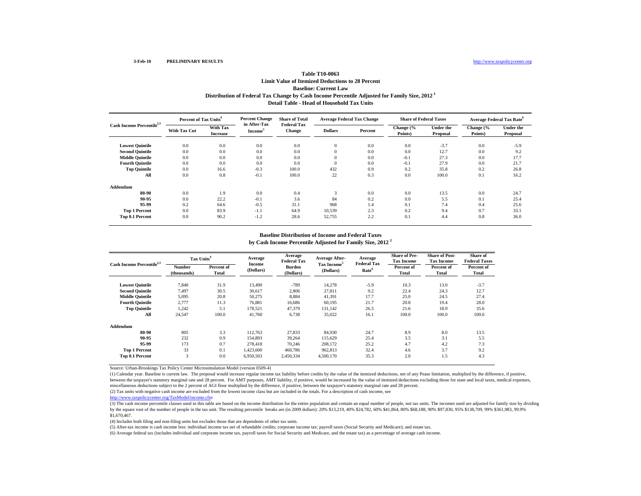## **Table T10-0063Limit Value of Itemized Deductions to 28 PercentBaseline: Current Law Distribution of Federal Tax Change by Cash Income Percentile Adjusted for Family Size, 2012 1 Detail Table - Head of Household Tax Units**

| Cash Income Percentile <sup>2,3</sup> | Percent of Tax Units <sup>4</sup> |                             | <b>Percent Change</b>               | <b>Share of Total</b>               | <b>Average Federal Tax Change</b> |         | <b>Share of Federal Taxes</b> |                              |                      | Average Federal Tax Rate <sup>6</sup> |
|---------------------------------------|-----------------------------------|-----------------------------|-------------------------------------|-------------------------------------|-----------------------------------|---------|-------------------------------|------------------------------|----------------------|---------------------------------------|
|                                       | <b>With Tax Cut</b>               | With Tax<br><b>Increase</b> | in After-Tax<br>Income <sup>3</sup> | <b>Federal Tax</b><br><b>Change</b> | <b>Dollars</b>                    | Percent | Change (%<br>Points)          | <b>Under the</b><br>Proposal | Change (%<br>Points) | <b>Under the</b><br>Proposal          |
| <b>Lowest Quintile</b>                | 0.0                               | 0.0                         | 0.0                                 | 0.0                                 | $\mathbf{0}$                      | 0.0     | 0.0                           | $-3.7$                       | 0.0                  | $-5.9$                                |
| <b>Second Quintile</b>                | 0.0                               | 0.0                         | 0.0                                 | 0.0                                 | $\mathbf{0}$                      | 0.0     | 0.0                           | 12.7                         | 0.0                  | 9.2                                   |
| <b>Middle Quintile</b>                | 0.0                               | 0.0                         | 0.0                                 | 0.0                                 | $\overline{0}$                    | 0.0     | $-0.1$                        | 27.3                         | 0.0                  | 17.7                                  |
| <b>Fourth Quintile</b>                | 0.0                               | 0.0                         | 0.0                                 | 0.0                                 | $\overline{0}$                    | 0.0     | $-0.1$                        | 27.9                         | 0.0                  | 21.7                                  |
| <b>Top Quintile</b>                   | 0.0                               | 16.6                        | $-0.3$                              | 100.0                               | 432                               | 0.9     | 0.2                           | 35.8                         | 0.2                  | 26.8                                  |
| All                                   | 0.0                               | 0.8                         | $-0.1$                              | 100.0                               | 22                                | 0.3     | 0.0                           | 100.0                        | 0.1                  | 16.2                                  |
| Addendum                              |                                   |                             |                                     |                                     |                                   |         |                               |                              |                      |                                       |
| 80-90                                 | 0.0                               | 1.9                         | 0.0                                 | 0.4                                 | 3                                 | 0.0     | 0.0                           | 13.5                         | 0.0                  | 24.7                                  |
| 90-95                                 | 0.0                               | 22.2                        | $-0.1$                              | 3.6                                 | 84                                | 0.2     | 0.0                           | 5.5                          | 0.1                  | 25.4                                  |
| 95-99                                 | 0.2                               | 64.6                        | $-0.5$                              | 31.1                                | 968                               | 1.4     | 0.1                           | 7.4                          | 0.4                  | 25.6                                  |
| <b>Top 1 Percent</b>                  | 0.0                               | 83.9                        | $-1.1$                              | 64.9                                | 10,539                            | 2.3     | 0.2                           | 9.4                          | 0.7                  | 33.1                                  |
| Top 0.1 Percent                       | 0.0                               | 90.2                        | $-1.2$                              | 28.6                                | 52,755                            | 2.2     | 0.1                           | 4.4                          | 0.8                  | 36.0                                  |

## **Baseline Distribution of Income and Federal Taxes**

**by Cash Income Percentile Adjusted for Family Size, 2012 <sup>1</sup>**

| Cash Income Percentile <sup>2,3</sup> |                       | Tax Units <sup>4</sup> |                     | Average<br><b>Federal Tax</b> | <b>Average After-</b>                | Average                                 | <b>Share of Pre-</b><br><b>Tax Income</b> | <b>Share of Post-</b><br><b>Tax Income</b> | Share of<br><b>Federal Taxes</b> |
|---------------------------------------|-----------------------|------------------------|---------------------|-------------------------------|--------------------------------------|-----------------------------------------|-------------------------------------------|--------------------------------------------|----------------------------------|
|                                       | Number<br>(thousands) | Percent of<br>Total    | Income<br>(Dollars) | Burden<br>(Dollars)           | Tax Income <sup>5</sup><br>(Dollars) | <b>Federal Tax</b><br>Rate <sup>6</sup> | Percent of<br>Total                       | Percent of<br>Total                        | Percent of<br>Total              |
| <b>Lowest Quintile</b>                | 7,840                 | 31.9                   | 13,490              | $-789$                        | 14,278                               | $-5.9$                                  | 10.3                                      | 13.0                                       | $-3.7$                           |
| <b>Second Quintile</b>                | 7,497                 | 30.5                   | 30,617              | 2,806                         | 27,811                               | 9.2                                     | 22.4                                      | 24.3                                       | 12.7                             |
| <b>Middle Quintile</b>                | 5,095                 | 20.8                   | 50,275              | 8,884                         | 41,391                               | 17.7                                    | 25.0                                      | 24.5                                       | 27.4                             |
| <b>Fourth Quintile</b>                | 2.777                 | 11.3                   | 76,881              | 16,686                        | 60.195                               | 21.7                                    | 20.8                                      | 19.4                                       | 28.0                             |
| <b>Top Quintile</b>                   | 1.242                 | 5.1                    | 178,521             | 47.379                        | 131,142                              | 26.5                                    | 21.6                                      | 18.9                                       | 35.6                             |
| All                                   | 24,547                | 100.0                  | 41,760              | 6,738                         | 35,022                               | 16.1                                    | 100.0                                     | 100.0                                      | 100.0                            |
| Addendum                              |                       |                        |                     |                               |                                      |                                         |                                           |                                            |                                  |
| 80-90                                 | 805                   | 3.3                    | 112.763             | 27.833                        | 84,930                               | 24.7                                    | 8.9                                       | 8.0                                        | 13.5                             |
| 90-95                                 | 232                   | 0.9                    | 154,893             | 39.264                        | 115.629                              | 25.4                                    | 3.5                                       | 3.1                                        | 5.5                              |
| 95-99                                 | 173                   | 0.7                    | 278,418             | 70.246                        | 208.172                              | 25.2                                    | 4.7                                       | 4.2                                        | 7.3                              |
| <b>Top 1 Percent</b>                  | 33                    | 0.1                    | 1,423,600           | 460,786                       | 962,813                              | 32.4                                    | 4.6                                       | 3.7                                        | 9.2                              |
| Top 0.1 Percent                       | 3                     | 0.0                    | 6,950,503           | 2,450,334                     | 4,500,170                            | 35.3                                    | 2.0                                       | 1.5                                        | 4.3                              |

Source: Urban-Brookings Tax Policy Center Microsimulation Model (version 0509-4)

(1) Calendar year. Baseline is current law. The proposal would increase regular income tax liability before credits by the value of the itemized deductions, net of any Pease limitation, multiplied by the difference, if pos between the taxpayer's statutory marginal rate and 28 percent. For AMT purposes, AMT liability, if positive, would be increased by the value of itemized deductions excluding those for state and local taxes, medical expense miscellaneous deductions subject to the 2 percent of AGI floor multiplied by the difference, if positive, between the taxpayer's statutory marginal rate and 28 percent.

(2) Tax units with negative cash income are excluded from the lowest income class but are included in the totals. For a description of cash income, see

http://www.taxpolicycenter.org/TaxModel/income.cfm

(3) The cash income percentile classes used in this table are based on the income distribution for the entire population and contain an equal number of people, not tax units. The incomes used are adjusted for family size b by the square root of the number of people in the tax unit. The resulting percentile breaks are (in 2009 dollars): 20% \$13,219, 40% \$24,782, 60% \$41,864, 80% \$68,188, 90% \$97,830, 95% \$138,709, 99% \$361,983, 99.9% \$1,670,467.

(4) Includes both filing and non-filing units but excludes those that are dependents of other tax units.

(5) After-tax income is cash income less: individual income tax net of refundable credits; corporate income tax; payroll taxes (Social Security and Medicare); and estate tax.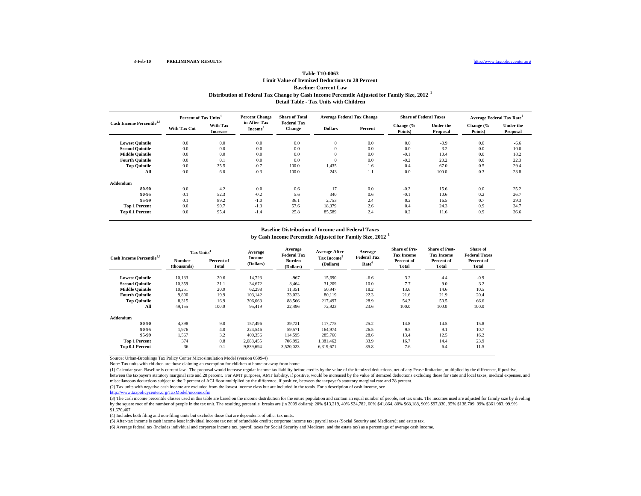## **Table T10-0063Limit Value of Itemized Deductions to 28 Percent Baseline: Current Law Distribution of Federal Tax Change by Cash Income Percentile Adjusted for Family Size, 2012 <sup>1</sup> Detail Table - Tax Units with Children**

| Cash Income Percentile <sup>2,3</sup> | Percent of Tax Units <sup>4</sup> |                             | <b>Percent Change</b>               | <b>Share of Total</b>               | <b>Average Federal Tax Change</b> |         | <b>Share of Federal Taxes</b> |                              | <b>Average Federal Tax Rate<sup>6</sup></b> |                              |
|---------------------------------------|-----------------------------------|-----------------------------|-------------------------------------|-------------------------------------|-----------------------------------|---------|-------------------------------|------------------------------|---------------------------------------------|------------------------------|
|                                       | <b>With Tax Cut</b>               | With Tax<br><b>Increase</b> | in After-Tax<br>Income <sup>3</sup> | <b>Federal Tax</b><br><b>Change</b> | <b>Dollars</b>                    | Percent | Change (%<br>Points)          | <b>Under the</b><br>Proposal | Change (%<br>Points)                        | <b>Under the</b><br>Proposal |
| <b>Lowest Quintile</b>                | 0.0                               | 0.0                         | 0.0                                 | 0.0                                 | $\theta$                          | 0.0     | 0.0                           | $-0.9$                       | 0.0                                         | $-6.6$                       |
| <b>Second Quintile</b>                | 0.0                               | 0.0                         | 0.0                                 | 0.0                                 | $\theta$                          | 0.0     | 0.0                           | 3.2                          | 0.0                                         | 10.0                         |
| <b>Middle Quintile</b>                | 0.0                               | 0.0                         | 0.0                                 | 0.0                                 | $\theta$                          | 0.0     | $-0.1$                        | 10.4                         | 0.0                                         | 18.2                         |
| <b>Fourth Quintile</b>                | 0.0                               | 0.1                         | 0.0                                 | 0.0                                 | $\theta$                          | 0.0     | $-0.2$                        | 20.2                         | 0.0                                         | 22.3                         |
| <b>Top Quintile</b>                   | 0.0                               | 35.5                        | $-0.7$                              | 100.0                               | 1,435                             | 1.6     | 0.4                           | 67.0                         | 0.5                                         | 29.4                         |
| All                                   | 0.0                               | 6.0                         | $-0.3$                              | 100.0                               | 243                               | 1.1     | 0.0                           | 100.0                        | 0.3                                         | 23.8                         |
| Addendum                              |                                   |                             |                                     |                                     |                                   |         |                               |                              |                                             |                              |
| 80-90                                 | 0.0                               | 4.2                         | 0.0                                 | 0.6                                 | 17                                | 0.0     | $-0.2$                        | 15.6                         | 0.0                                         | 25.2                         |
| 90-95                                 | 0.1                               | 52.3                        | $-0.2$                              | 5.6                                 | 340                               | 0.6     | $-0.1$                        | 10.6                         | 0.2                                         | 26.7                         |
| 95-99                                 | 0.1                               | 89.2                        | $-1.0$                              | 36.1                                | 2,753                             | 2.4     | 0.2                           | 16.5                         | 0.7                                         | 29.3                         |
| <b>Top 1 Percent</b>                  | 0.0                               | 90.7                        | $-1.3$                              | 57.6                                | 18,379                            | 2.6     | 0.4                           | 24.3                         | 0.9                                         | 34.7                         |
| Top 0.1 Percent                       | 0.0                               | 95.4                        | $-1.4$                              | 25.8                                | 85,589                            | 2.4     | 0.2                           | 11.6                         | 0.9                                         | 36.6                         |

#### **Baseline Distribution of Income and Federal Taxes**

**by Cash Income Percentile Adjusted for Family Size, 2012 <sup>1</sup>**

| Cash Income Percentile <sup>2,3</sup> | Tax Units <sup>4</sup> |                     | Average             | Average<br><b>Federal Tax</b> | <b>Average After-</b>                | Average                                 | <b>Share of Pre-</b><br><b>Tax Income</b> | <b>Share of Post-</b><br><b>Tax Income</b> | Share of<br><b>Federal Taxes</b> |
|---------------------------------------|------------------------|---------------------|---------------------|-------------------------------|--------------------------------------|-----------------------------------------|-------------------------------------------|--------------------------------------------|----------------------------------|
|                                       | Number<br>(thousands)  | Percent of<br>Total | Income<br>(Dollars) | <b>Burden</b><br>(Dollars)    | Tax Income <sup>5</sup><br>(Dollars) | <b>Federal Tax</b><br>Rate <sup>6</sup> | Percent of<br>Total                       | Percent of<br>Total                        | Percent of<br>Total              |
| <b>Lowest Quintile</b>                | 10.133                 | 20.6                | 14,723              | $-967$                        | 15,690                               | $-6.6$                                  | 3.2                                       | 4.4                                        | $-0.9$                           |
| <b>Second Ouintile</b>                | 10.359                 | 21.1                | 34.672              | 3,464                         | 31,209                               | 10.0                                    | 7.7                                       | 9.0                                        | 3.2                              |
| <b>Middle Ouintile</b>                | 10.251                 | 20.9                | 62,298              | 11,351                        | 50,947                               | 18.2                                    | 13.6                                      | 14.6                                       | 10.5                             |
| <b>Fourth Ouintile</b>                | 9,800                  | 19.9                | 103.142             | 23,023                        | 80,119                               | 22.3                                    | 21.6                                      | 21.9                                       | 20.4                             |
| <b>Top Quintile</b>                   | 8.315                  | 16.9                | 306,063             | 88,566                        | 217.497                              | 28.9                                    | 54.3                                      | 50.5                                       | 66.6                             |
| All                                   | 49,155                 | 100.0               | 95,419              | 22,496                        | 72,923                               | 23.6                                    | 100.0                                     | 100.0                                      | 100.0                            |
| Addendum                              |                        |                     |                     |                               |                                      |                                         |                                           |                                            |                                  |
| 80-90                                 | 4.398                  | 9.0                 | 157.496             | 39,721                        | 117,775                              | 25.2                                    | 14.8                                      | 14.5                                       | 15.8                             |
| 90-95                                 | 1.976                  | 4.0                 | 224,546             | 59,571                        | 164,974                              | 26.5                                    | 9.5                                       | 9.1                                        | 10.7                             |
| 95-99                                 | 1,567                  | 3.2                 | 400,356             | 114,595                       | 285,760                              | 28.6                                    | 13.4                                      | 12.5                                       | 16.2                             |
| <b>Top 1 Percent</b>                  | 374                    | 0.8                 | 2,088,455           | 706,992                       | 1.381.462                            | 33.9                                    | 16.7                                      | 14.4                                       | 23.9                             |
| Top 0.1 Percent                       | 36                     | 0.1                 | 9.839.694           | 3.520.023                     | 6.319.671                            | 35.8                                    | 7.6                                       | 6.4                                        | 11.5                             |

Source: Urban-Brookings Tax Policy Center Microsimulation Model (version 0509-4)

Note: Tax units with children are those claiming an exemption for children at home or away from home.

(1) Calendar year. Baseline is current law. The proposal would increase regular income tax liability before credits by the value of the itemized deductions, net of any Pease limitation, multiplied by the difference, if pos between the taxpayer's statutory marginal rate and 28 percent. For AMT purposes, AMT liability, if positive, would be increased by the value of itemized deductions excluding those for state and local taxes, medical expense miscellaneous deductions subject to the 2 percent of AGI floor multiplied by the difference, if positive, between the taxpayer's statutory marginal rate and 28 percent.

(2) Tax units with negative cash income are excluded from the lowest income class but are included in the totals. For a description of cash income, see

http://www.taxpolicycenter.org/TaxModel/income.cfm

(3) The cash income percentile classes used in this table are based on the income distribution for the entire population and contain an equal number of people, not tax units. The incomes used are adjusted for family size b by the square root of the number of people in the tax unit. The resulting percentile breaks are (in 2009 dollars): 20% \$13,219, 40% \$24,782, 60% \$41,864, 80% \$68,188, 90% \$97,830, 95% \$138,709, 99% \$361,983, 99.9% \$1,670,467.

(4) Includes both filing and non-filing units but excludes those that are dependents of other tax units.

(5) After-tax income is cash income less: individual income tax net of refundable credits; corporate income tax; payroll taxes (Social Security and Medicare); and estate tax.